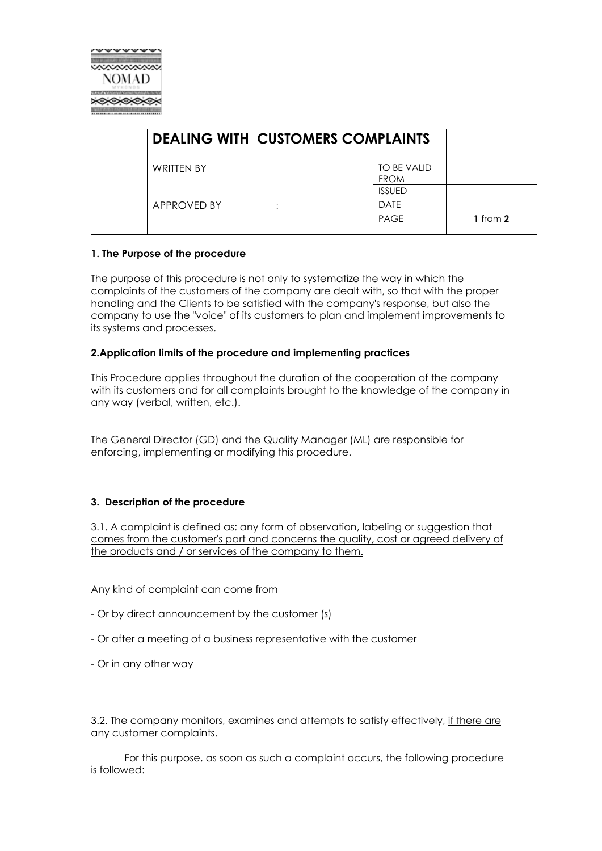

| TO BE VALID<br><b>FROM</b><br><b>ISSUED</b> |             |
|---------------------------------------------|-------------|
| <b>DATE</b>                                 | 1 from $2$  |
|                                             | <b>PAGE</b> |

## **1. The Purpose of the procedure**

The purpose of this procedure is not only to systematize the way in which the complaints of the customers of the company are dealt with, so that with the proper handling and the Clients to be satisfied with the company's response, but also the company to use the "voice" of its customers to plan and implement improvements to its systems and processes.

## **2.Application limits of the procedure and implementing practices**

This Procedure applies throughout the duration of the cooperation of the company with its customers and for all complaints brought to the knowledge of the company in any way (verbal, written, etc.).

The General Director (GD) and the Quality Manager (ML) are responsible for enforcing, implementing or modifying this procedure.

## **3. Description of the procedure**

3.1. A complaint is defined as: any form of observation, labeling or suggestion that comes from the customer's part and concerns the quality, cost or agreed delivery of the products and / or services of the company to them.

Any kind of complaint can come from

- Or by direct announcement by the customer (s)
- Or after a meeting of a business representative with the customer
- Or in any other way

3.2. The company monitors, examines and attempts to satisfy effectively, if there are any customer complaints.

 For this purpose, as soon as such a complaint occurs, the following procedure is followed: